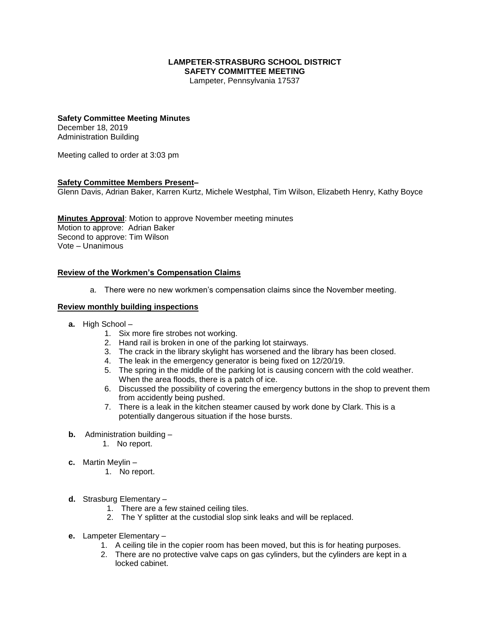#### **LAMPETER-STRASBURG SCHOOL DISTRICT SAFETY COMMITTEE MEETING**

Lampeter, Pennsylvania 17537

## **Safety Committee Meeting Minutes**

December 18, 2019 Administration Building

Meeting called to order at 3:03 pm

## **Safety Committee Members Present–**

Glenn Davis, Adrian Baker, Karren Kurtz, Michele Westphal, Tim Wilson, Elizabeth Henry, Kathy Boyce

## **Minutes Approval**: Motion to approve November meeting minutes Motion to approve: Adrian Baker Second to approve: Tim Wilson Vote – Unanimous

#### **Review of the Workmen's Compensation Claims**

a. There were no new workmen's compensation claims since the November meeting.

#### **Review monthly building inspections**

- **a.** High School
	- 1. Six more fire strobes not working.
	- 2. Hand rail is broken in one of the parking lot stairways.
	- 3. The crack in the library skylight has worsened and the library has been closed.
	- 4. The leak in the emergency generator is being fixed on 12/20/19.
	- 5. The spring in the middle of the parking lot is causing concern with the cold weather. When the area floods, there is a patch of ice.
	- 6. Discussed the possibility of covering the emergency buttons in the shop to prevent them from accidently being pushed.
	- 7. There is a leak in the kitchen steamer caused by work done by Clark. This is a potentially dangerous situation if the hose bursts.
- **b.** Administration building
	- 1. No report.
- **c.** Martin Meylin
	- 1. No report.
- **d.** Strasburg Elementary
	- 1. There are a few stained ceiling tiles.
	- 2. The Y splitter at the custodial slop sink leaks and will be replaced.
- **e.** Lampeter Elementary
	- 1. A ceiling tile in the copier room has been moved, but this is for heating purposes.
	- 2. There are no protective valve caps on gas cylinders, but the cylinders are kept in a locked cabinet.